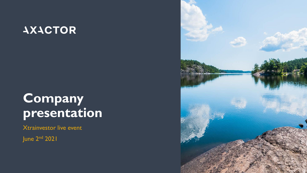# **AXACTOR**

# **Company presentation**

Xtrainvestor live event

June 2nd 2021

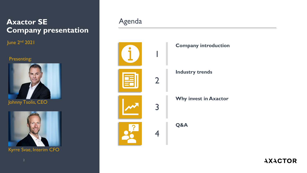## **Axactor SE Company presentation**

June 2<sup>nd</sup> 2021

### Presenting:





Kyrre Svae, Interim CFO

## Agenda

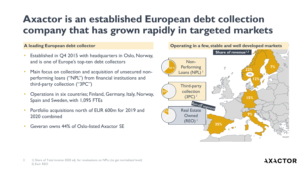# **Axactor is an established European debt collection company that has grown rapidly in targeted markets**

- Established in Q4 2015 with headquarters in Oslo, Norway, and is one of Europe's top-ten debt collectors
- Main focus on collection and acquisition of unsecured nonperforming loans ("NPL") from financial institutions and third-party collection ("3PC")
- Operations in six countries; Finland, Germany, Italy, Norway, Spain and Sweden, with 1,095 FTEs
- Portfolio acquisitions north of EUR 600m for 2019 and 2020 combined
- Geveran owns 44% of Oslo-listed Axactor SE



#### 3 1) Share of Total income 2020 adj. for revaluations on NPLs (to get normalized level) 2) Excl. REO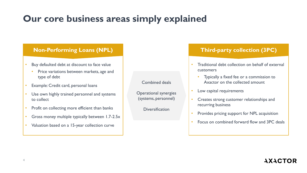# **Our core business areas simply explained**

### **Non-Performing Loans (NPL) Third-party collection (3PC)**

- Buy defaulted debt at discount to face value
	- Price variations between markets, age and type of debt
- Example: Credit card, personal loans
- Use own highly trained personnel and systems to collect
- Profit on collecting more efficient than banks
- Gross money multiple typically between 1.7-2.5x
- Valuation based on a 15-year collection curve

Combined deals

Operational synergies (systems, personnel)

**Diversification** 

- Traditional debt collection on behalf of external customers
	- Typically a fixed fee or a commission to Axactor on the collected amount
- Low capital requirements
- Creates strong customer relationships and recurring business
- Provides pricing support for NPL acquisition
- Focus on combined forward flow and 3PC deals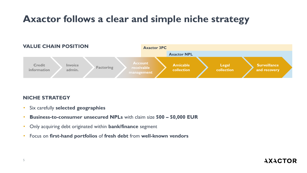# **Axactor follows a clear and simple niche strategy**



### **NICHE STRATEGY**

- Six carefully **selected geographies**
- **Business-to-consumer unsecured NPLs** with claim size **500 – 50,000 EUR**
- Only acquiring debt originated within **bank/finance** segment
- Focus on **first-hand portfolios** of **fresh debt** from **well-known vendors**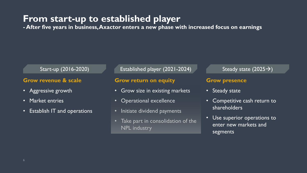## **From start-up to established player**

**- After five years in business, Axactor enters a new phase with increased focus on earnings**

### Start-up (2016-2020)

### **Grow revenue & scale**

- Aggressive growth
- Market entries
- Establish IT and operations

Established player (2021-2024) Steady state  $(2025 \rightarrow)$ 

#### **Grow return on equity**

- Grow size in existing markets
- Operational excellence
- Initiate dividend payments
- Take part in consolidation of the NPL industry

#### **Grow presence**

- Steady state
- Competitive cash return to shareholders
- Use superior operations to enter new markets and segments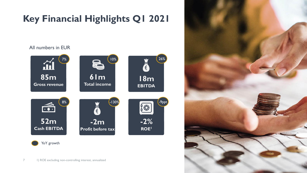# **Key Financial Highlights Q1 2021**



YoY growth



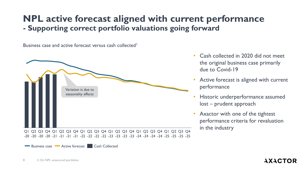## **NPL active forecast aligned with current performance - Supporting correct portfolio valuations going forward**

Business case and active forecast versus cash collected<sup>1</sup>



-20 -20 -20 -21 -21 -21 -22 -22 -22 -22 -23 -23 -23 -23 -24 -24 -24 -24 -25 -25 -25 -25

- Cash collected in 2020 did not meet the original business case primarily due to Covid-19
- Active forecast is aligned with current performance
- Historic underperformance assumed lost – prudent approach
- Axactor with one of the tightest performance criteria for revaluation in the industry

Business case Active forecast Cash Collected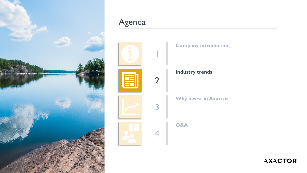

# Agenda

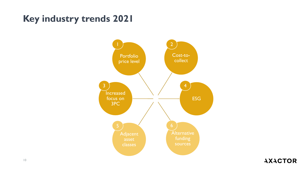# **Key industry trends 2021**

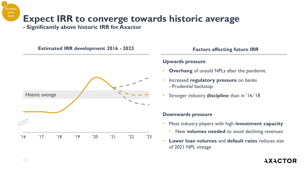# **Expect IRR to converge towards historic average**

**- Significantly above historic IRR for Axactor**



#### **Upwards pressure**

- **Overhang** of unsold NPLs after the pandemic
- Increased **regulatory pressure** on banks - Prudential backstop
- Stronger industry **discipline** than in '16-'18

#### **Downwards pressure**

- Most industry players with high **investment capacity**
	- New **volumes needed** to avoid declining revenues
- **Lower loan volumes** and **default rates** reduces size of 2021 NPL vintage

## **AXACTOR**

**Portfolic** price level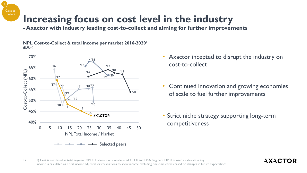# **Increasing focus on cost level in the industry**

**- Axactor with industry leading cost-to-collect and aiming for further improvements**

**NPL Cost-to-Collect & total income per market 2016-2020<sup>1</sup>** (EURm)

Cost-tocollect

2



- Axactor incepted to disrupt the industry on cost-to-collect
- Continued innovation and growing economies of scale to fuel further improvements
- Strict niche strategy supporting long-term competitiveness

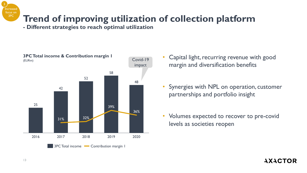# **Trend of improving utilization of collection platform**

**- Different strategies to reach optimal utilization**



- Capital light, recurring revenue with good margin and diversification benefits
- Synergies with NPL on operation, customer partnerships and portfolio insight
- Volumes expected to recover to pre-covid levels as societies reopen

## **AXACTOR**

Increased focus on 3PC

3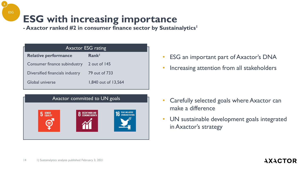# **ESG with increasing importance**

**- Axactor ranked #2 in consumer finance sector by Sustainalytics<sup>1</sup>**

| <b>Axactor ESG rating</b>       |                     |  |  |  |
|---------------------------------|---------------------|--|--|--|
| <b>Relative performance</b>     | Rank <sup>1</sup>   |  |  |  |
| Consumer finance subindustry    | 2 out of 145        |  |  |  |
| Diversified financials industry | 79 out of 733       |  |  |  |
| Global universe                 | 1,840 out of 13,564 |  |  |  |



- ESG an important part of Axactor's DNA
- Increasing attention from all stakeholders

- Carefully selected goals where Axactor can make a difference
- UN sustainable development goals integrated in Axactor's strategy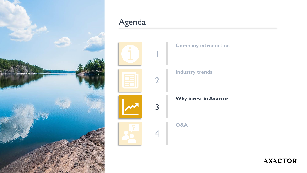

# Agenda

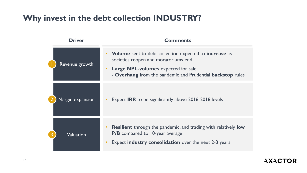## **Why invest in the debt collection INDUSTRY?**

| <b>Driver</b>    | <b>Comments</b>                                                                                                                                                                                                          |  |  |
|------------------|--------------------------------------------------------------------------------------------------------------------------------------------------------------------------------------------------------------------------|--|--|
| Revenue growth   | <b>Volume</b> sent to debt collection expected to <b>increase</b> as<br>societies reopen and moratoriums end<br><b>Large NPL-volumes</b> expected for sale<br>- Overhang from the pandemic and Prudential backstop rules |  |  |
| Margin expansion | Expect <b>IRR</b> to be significantly above 2016-2018 levels                                                                                                                                                             |  |  |
| Valuation        | <b>Resilient</b> through the pandemic, and trading with relatively <b>low</b><br>P/B compared to 10-year average<br>Expect <b>industry consolidation</b> over the next 2-3 years                                         |  |  |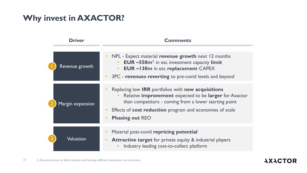## **Why invest in AXACTOR?**

| Driver           | <b>Comments</b>                                                                                                                                                                                                                                                                                                         |  |  |
|------------------|-------------------------------------------------------------------------------------------------------------------------------------------------------------------------------------------------------------------------------------------------------------------------------------------------------------------------|--|--|
| Revenue growth   | NPL - Expect material revenue growth next 12 months<br>$\bullet$<br><b>EUR</b> $\sim$ 550 $m1$ in est. investment capacity limit<br>$\bullet$<br><b>EUR ~130m in est. replacement CAPEX</b><br>$\bullet$<br>3PC - revenues reverting to pre-covid levels and beyond<br>$\bullet$                                        |  |  |
|                  |                                                                                                                                                                                                                                                                                                                         |  |  |
| Margin expansion | Replacing low <b>IRR</b> portfolios with <b>new acquisitions</b><br>Relative improvement expected to be larger for Axactor<br>$\bullet$<br>than competitors - coming from a lower starting point<br>Effects of <b>cost reduction</b> program and economies of scale<br>$\bullet$<br><b>Phasing out REO</b><br>$\bullet$ |  |  |
| Valuation        | Material post-covid repricing potential<br><b>Attractive target for private equity &amp; industrial players</b><br>Industry leading cost-to-collect platform                                                                                                                                                            |  |  |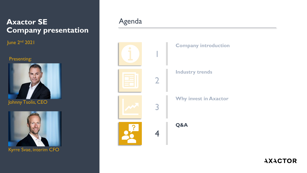## **Axactor SE Company presentation**

June 2nd 2021

### Presenting:





Kyrre Svae, interim CFO

## Agenda

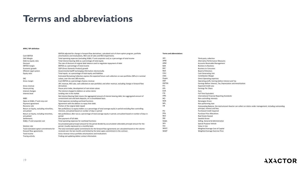## **Terms and abbreviations**

#### **APM / KPI definition**

| Cash EBITDA                             | EBITDA adjusted for change in forward flow derivatives, calculated cost of share option program, portfolio<br>amortizations and revaluations, REO cost of sales and REO impairments | <b>Terms and abbreviations</b> |                                                                                                             |
|-----------------------------------------|-------------------------------------------------------------------------------------------------------------------------------------------------------------------------------------|--------------------------------|-------------------------------------------------------------------------------------------------------------|
| CM1 Margin                              | Total operating expenses (excluding SG&A, IT and corporate cost) as a percentage of total income                                                                                    | 3PC                            | Third-party collection                                                                                      |
| Debt-to-equity ratio                    | Total interest bearing debt as a percentage of total equity                                                                                                                         | APM                            | Alternative Performance Measures                                                                            |
| Discount                                | The rate of discount of original debt balance used to negotiate repayment of debt                                                                                                   | ARM                            | Accounts Receivable Management                                                                              |
| <b>EBITDA</b> margin                    | EBITDA as a percentage of total income                                                                                                                                              | B <sub>2</sub> B               | <b>Business to Business</b>                                                                                 |
| Economic growth                         | GDP (Gross Domestic Product) growth                                                                                                                                                 | B <sub>2C</sub>                | <b>Business to Consumer</b>                                                                                 |
| Efficient Legal system                  | Governmental bailiff exchanging information electronically                                                                                                                          | BoD                            | <b>Board of Directors</b>                                                                                   |
| Equity ratio                            | Total equity as a percentage of total equity and liabilities                                                                                                                        | CGU                            | <b>Cash Generating Unit</b>                                                                                 |
|                                         |                                                                                                                                                                                     | CM <sub>1</sub>                |                                                                                                             |
|                                         | Estimated Remaining Collection express the expected future cash collection on own portfolios (NPLs) in nominal                                                                      |                                | <b>Contribution Margin</b>                                                                                  |
| ERC                                     | values, over the next 180 months.                                                                                                                                                   | Dopex<br>EBIT                  | Direct Operating expenses                                                                                   |
| Gross margin                            | Cash EBITDA as a percentage of gross revenue                                                                                                                                        |                                | Operating profit, Earning before Interest and Tax                                                           |
|                                         | 3PC revenue, REO sale, cash collected on own portfolios and other revenue, excluding change in forward flow                                                                         | EBITDA                         | Earnings Before Interest, Tax, Depreciation and Amortization                                                |
| Gross revenue                           | derivatives                                                                                                                                                                         | ECL                            | <b>Expected Credit Loss</b>                                                                                 |
| House pricing                           | House price index, development of real estate values                                                                                                                                | EPS                            | Earnings Per Share                                                                                          |
| Interest changes                        | The interest charged to debtors on active claims                                                                                                                                    | EUR                            | Euro                                                                                                        |
| Interest level                          | Lending rate in the market                                                                                                                                                          | <b>FTE</b>                     | <b>Full Time Equivalent</b>                                                                                 |
|                                         | Net Interest Bearing Debt means the aggregated amount of interest bearing debt, less aggregated amount of                                                                           | <b>IFRS</b>                    | International Financial Reporting Standards                                                                 |
| <b>NIBD</b>                             | unrestricted cash and bank deposits, on a consolidated basis                                                                                                                        | <b>NCI</b>                     | Non-controlling interests                                                                                   |
| Opex ex SG&A, IT and corp.cost          | Total expenses excluding overhead functions                                                                                                                                         | <b>NOK</b>                     | Norwegian Krone                                                                                             |
| Payment agreement                       | Agreement with the debtors to repay their debt                                                                                                                                      | <b>NPL</b>                     | Non-performing loan                                                                                         |
| Recovery rate                           | Portion of the original debt repaid                                                                                                                                                 | OB                             | Outstanding Balance, the total amount Axactor can collect on claims under management, including outstanding |
| Return on Equity, excluding minorities, | Net profit/(loss) to equity holders as a percentage of total average equity in period excluding Non-controlling                                                                     |                                | principal, interest and fees                                                                                |
| annualized                              | interests, annualized based on number of days in period                                                                                                                             | PCI                            | Purchased Credit Impaired                                                                                   |
| Return on Equity, including minorities, | Net profit/(loss) after tax as a percentage of total average equity in period, annualized based on number of days in                                                                | PPA                            | <b>Purchase Price Allocations</b>                                                                           |
| annualized                              | period                                                                                                                                                                              | <b>REO</b>                     | <b>Real Estate Owned</b>                                                                                    |
| Settlements                             | One payment of full debt                                                                                                                                                            | <b>SEK</b>                     | Swedish Krone                                                                                               |
| SG&A, IT and corporate cost             | Total operating expenses for overhead functions                                                                                                                                     | SG&A                           | Selling, General & Administrative                                                                           |
|                                         | Accumulated paid principal amount for the period divided by accumulated collectable principal amount for the                                                                        | SPV                            | Special Purpose Vehicle                                                                                     |
| Solution rate                           | period. Usually expressed on a monthly basis                                                                                                                                        | VIU                            | Value in Use                                                                                                |
| Total estimated capital commitments for | The total estimated capital commitments for the forward flow agreements are calculated based on the volume                                                                          | WACC                           | Weighted Average Cost of Capital                                                                            |
| forward flow agreements                 | received over the last months and limited by the total capex commitment in the contract.                                                                                            | WAEP                           | Weighted Average Exercise Price                                                                             |
| Total income                            | Gross revenue minus portfolio amortizations and revaluations                                                                                                                        |                                |                                                                                                             |
| Tracing activity                        | Finding and updating debtor contact information                                                                                                                                     |                                |                                                                                                             |
|                                         |                                                                                                                                                                                     |                                |                                                                                                             |